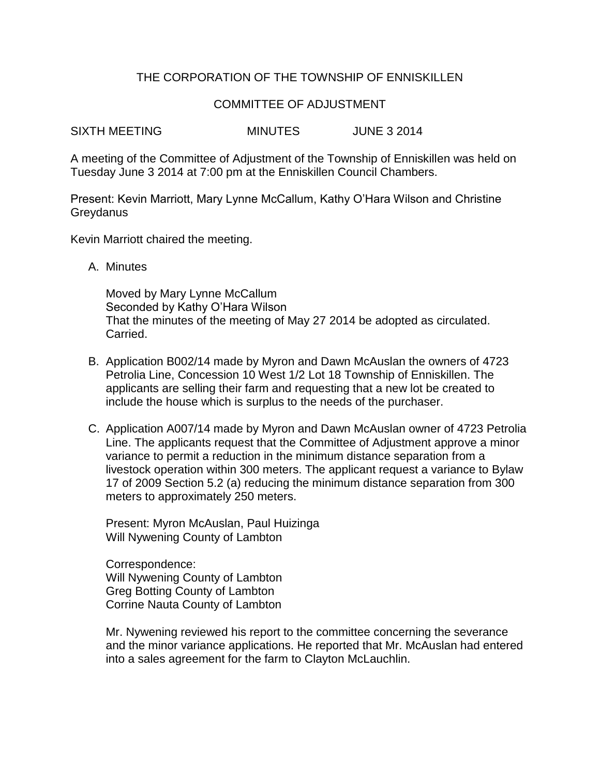### THE CORPORATION OF THE TOWNSHIP OF ENNISKILLEN

#### COMMITTEE OF ADJUSTMENT

SIXTH MEETING MINUTES JUNE 3 2014

A meeting of the Committee of Adjustment of the Township of Enniskillen was held on Tuesday June 3 2014 at 7:00 pm at the Enniskillen Council Chambers.

Present: Kevin Marriott, Mary Lynne McCallum, Kathy O'Hara Wilson and Christine Greydanus

Kevin Marriott chaired the meeting.

A. Minutes

Moved by Mary Lynne McCallum Seconded by Kathy O'Hara Wilson That the minutes of the meeting of May 27 2014 be adopted as circulated. Carried.

- B. Application B002/14 made by Myron and Dawn McAuslan the owners of 4723 Petrolia Line, Concession 10 West 1/2 Lot 18 Township of Enniskillen. The applicants are selling their farm and requesting that a new lot be created to include the house which is surplus to the needs of the purchaser.
- C. Application A007/14 made by Myron and Dawn McAuslan owner of 4723 Petrolia Line. The applicants request that the Committee of Adjustment approve a minor variance to permit a reduction in the minimum distance separation from a livestock operation within 300 meters. The applicant request a variance to Bylaw 17 of 2009 Section 5.2 (a) reducing the minimum distance separation from 300 meters to approximately 250 meters.

Present: Myron McAuslan, Paul Huizinga Will Nywening County of Lambton

Correspondence: Will Nywening County of Lambton Greg Botting County of Lambton Corrine Nauta County of Lambton

Mr. Nywening reviewed his report to the committee concerning the severance and the minor variance applications. He reported that Mr. McAuslan had entered into a sales agreement for the farm to Clayton McLauchlin.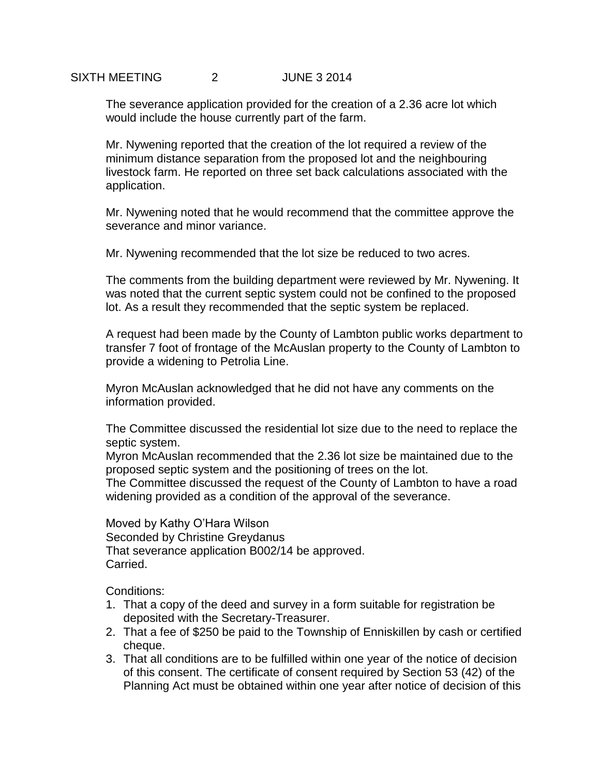## SIXTH MEETING 2 JUNE 3 2014

The severance application provided for the creation of a 2.36 acre lot which would include the house currently part of the farm.

Mr. Nywening reported that the creation of the lot required a review of the minimum distance separation from the proposed lot and the neighbouring livestock farm. He reported on three set back calculations associated with the application.

Mr. Nywening noted that he would recommend that the committee approve the severance and minor variance.

Mr. Nywening recommended that the lot size be reduced to two acres.

The comments from the building department were reviewed by Mr. Nywening. It was noted that the current septic system could not be confined to the proposed lot. As a result they recommended that the septic system be replaced.

A request had been made by the County of Lambton public works department to transfer 7 foot of frontage of the McAuslan property to the County of Lambton to provide a widening to Petrolia Line.

Myron McAuslan acknowledged that he did not have any comments on the information provided.

The Committee discussed the residential lot size due to the need to replace the septic system.

Myron McAuslan recommended that the 2.36 lot size be maintained due to the proposed septic system and the positioning of trees on the lot.

The Committee discussed the request of the County of Lambton to have a road widening provided as a condition of the approval of the severance.

Moved by Kathy O'Hara Wilson Seconded by Christine Greydanus That severance application B002/14 be approved. Carried.

Conditions:

- 1. That a copy of the deed and survey in a form suitable for registration be deposited with the Secretary-Treasurer.
- 2. That a fee of \$250 be paid to the Township of Enniskillen by cash or certified cheque.
- 3. That all conditions are to be fulfilled within one year of the notice of decision of this consent. The certificate of consent required by Section 53 (42) of the Planning Act must be obtained within one year after notice of decision of this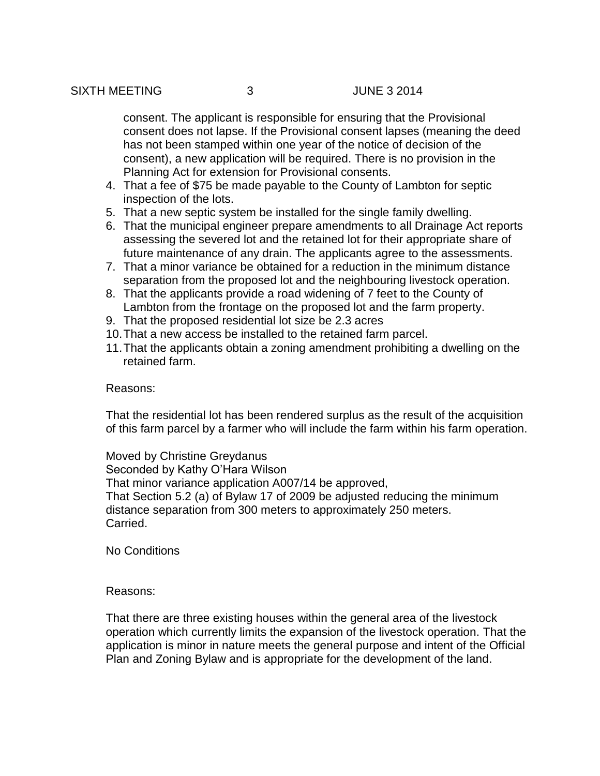consent. The applicant is responsible for ensuring that the Provisional consent does not lapse. If the Provisional consent lapses (meaning the deed has not been stamped within one year of the notice of decision of the consent), a new application will be required. There is no provision in the Planning Act for extension for Provisional consents.

- 4. That a fee of \$75 be made payable to the County of Lambton for septic inspection of the lots.
- 5. That a new septic system be installed for the single family dwelling.
- 6. That the municipal engineer prepare amendments to all Drainage Act reports assessing the severed lot and the retained lot for their appropriate share of future maintenance of any drain. The applicants agree to the assessments.
- 7. That a minor variance be obtained for a reduction in the minimum distance separation from the proposed lot and the neighbouring livestock operation.
- 8. That the applicants provide a road widening of 7 feet to the County of Lambton from the frontage on the proposed lot and the farm property.
- 9. That the proposed residential lot size be 2.3 acres
- 10.That a new access be installed to the retained farm parcel.
- 11.That the applicants obtain a zoning amendment prohibiting a dwelling on the retained farm.

#### Reasons:

That the residential lot has been rendered surplus as the result of the acquisition of this farm parcel by a farmer who will include the farm within his farm operation.

Moved by Christine Greydanus Seconded by Kathy O'Hara Wilson That minor variance application A007/14 be approved, That Section 5.2 (a) of Bylaw 17 of 2009 be adjusted reducing the minimum distance separation from 300 meters to approximately 250 meters. Carried.

No Conditions

#### Reasons:

That there are three existing houses within the general area of the livestock operation which currently limits the expansion of the livestock operation. That the application is minor in nature meets the general purpose and intent of the Official Plan and Zoning Bylaw and is appropriate for the development of the land.